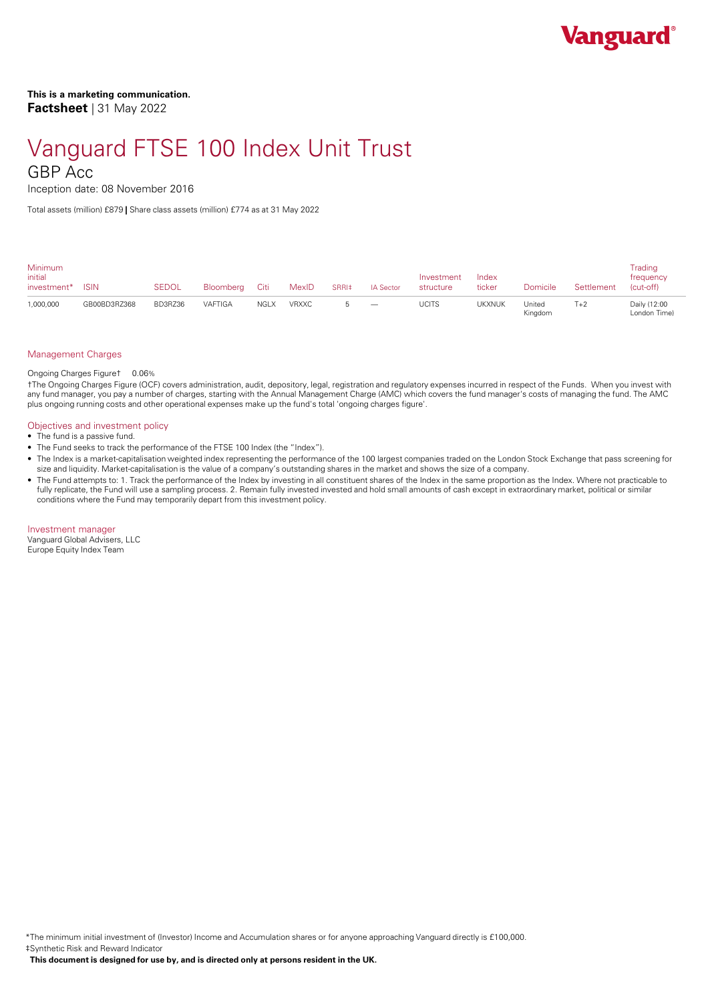# Vanguard FTSE 100 Index Unit Trust

### GBP Acc

Inception date: 08 November 2016

Total assets (million) £879 **|** Share class assets (million) £774 as at 31 May 2022

| <b>Minimum</b><br>initial<br>investment* | <b>ISIN</b>  | <b>SEDOL</b> | Bloombera Citi |             | MexID        | SRRI <sup>#</sup> | <b>IA Sector</b>                | Investment<br>structure | Index<br>ticker | Domicile          | Settlement | Trading<br>frequency<br>(cut-off) |  |
|------------------------------------------|--------------|--------------|----------------|-------------|--------------|-------------------|---------------------------------|-------------------------|-----------------|-------------------|------------|-----------------------------------|--|
| 1,000,000                                | GB00BD3RZ368 | BD3RZ36      | VAFTIGA        | <b>NGLX</b> | <b>VRXXC</b> |                   | $\hspace{0.1mm}-\hspace{0.1mm}$ | <b>UCITS</b>            | UKXNUK          | United<br>Kingdom | $T+2$      | Daily (12:00<br>London Time)      |  |

#### Management Charges

Ongoing Charges Figure† 0.06%

†The Ongoing Charges Figure (OCF) covers administration, audit, depository, legal, registration and regulatory expenses incurred in respect of the Funds. When you invest with any fund manager, you pay a number of charges, starting with the Annual Management Charge (AMC) which covers the fund manager's costs of managing the fund. The AMC plus ongoing running costs and other operational expenses make up the fund's total 'ongoing charges figure'.

#### Objectives and investment policy

- The fund is a passive fund.
- The Fund seeks to track the performance of the FTSE 100 Index (the "Index").
- The Index is a market-capitalisation weighted index representing the performance of the 100 largest companies traded on the London Stock Exchange that pass screening for size and liquidity. Market-capitalisation is the value of a company's outstanding shares in the market and shows the size of a company.
- The Fund attempts to: 1. Track the performance of the Index by investing in all constituent shares of the Index in the same proportion as the Index. Where not practicable to fully replicate, the Fund will use a sampling process. 2. Remain fully invested invested and hold small amounts of cash except in extraordinary market, political or similar conditions where the Fund may temporarily depart from this investment policy.

Investment manager

Vanguard Global Advisers, LLC Europe Equity Index Team

\*The minimum initial investment of (Investor) Income and Accumulation shares or for anyone approaching Vanguard directly is £100,000. ‡Synthetic Risk and Reward Indicator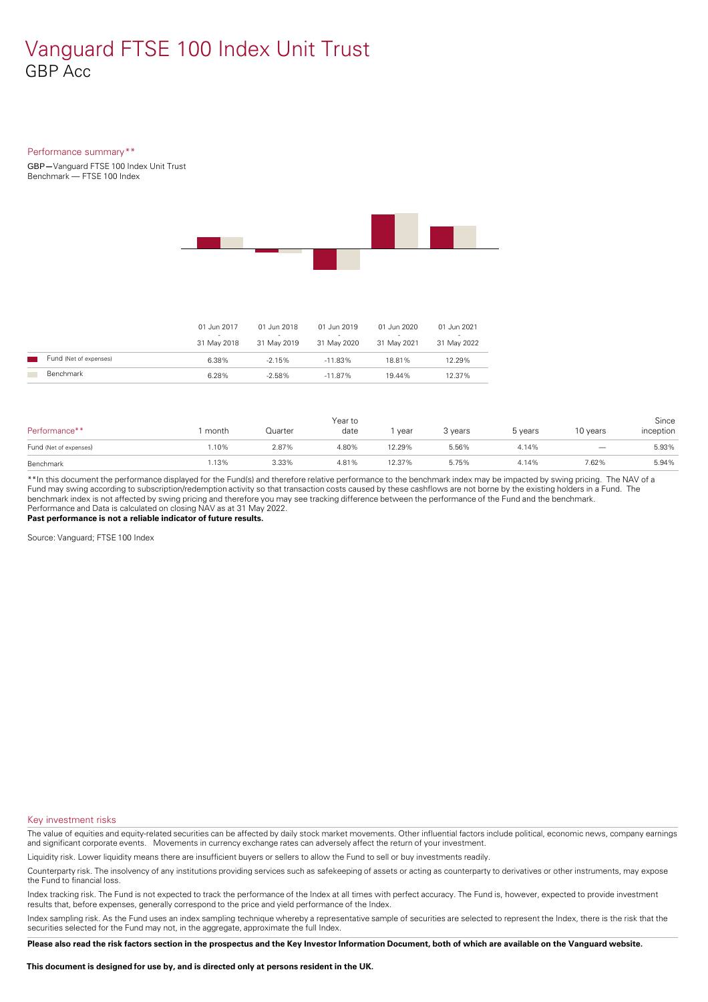## Vanguard FTSE 100 Index Unit Trust GBP Acc

#### Performance summary\*\*

GBP**—**Vanguard FTSE 100 Index Unit Trust Benchmark — FTSE 100 Index



|                        | 01 Jun 2017<br>31 May 2018 | 01 Jun 2018<br>$\overline{\phantom{a}}$<br>31 May 2019 | 01 Jun 2019<br>$\overline{\phantom{a}}$<br>31 May 2020 | 01 Jun 2020<br>$\overline{\phantom{a}}$<br>31 May 2021 | 01 Jun 2021<br>-<br>31 May 2022 |
|------------------------|----------------------------|--------------------------------------------------------|--------------------------------------------------------|--------------------------------------------------------|---------------------------------|
| Fund (Net of expenses) | 6.38%                      | $-2.15\%$                                              | $-11.83\%$                                             | 18.81%                                                 | 12.29%                          |
| Benchmark              | 6.28%                      | $-2.58%$                                               | $-11.87\%$                                             | 19.44%                                                 | 12.37%                          |

| Performance**          | month | Quarter | Year to<br>date | year   | 3 years | 5 years | 10 years | Since<br>inception |
|------------------------|-------|---------|-----------------|--------|---------|---------|----------|--------------------|
| Fund (Net of expenses) | 1.10% | 2.87%   | 4.80%           | 12.29% | 5.56%   | 4.14%   |          | 5.93%              |
| Benchmark              | 1.13% | 3.33%   | 4.81%           | 12.37% | 5.75%   | 4.14%   | 7.62%    | 5.94%              |

\*\*In this document the performance displayed for the Fund(s) and therefore relative performance to the benchmark index may be impacted by swing pricing. The NAV of a Fund may swing according to subscription/redemption activity so that transaction costs caused by these cashflows are notborne by the existing holders in a Fund. The benchmark index is not affected by swing pricing and therefore you may see tracking difference between the performance of the Fund and the benchmark. Performance and Data is calculated on closing NAV as at 31 May 2022.

**Past performance is not a reliable indicator of future results.**

Source: Vanguard; FTSE 100 Index

Key investment risks

The value of equities and equity-related securities can be affected by daily stock market movements. Other influential factors include political, economic news, company earnings and significant corporate events. Movements in currency exchange rates can adversely affect the return of your investment.

Liquidity risk. Lower liquidity means there are insufficient buyers or sellers to allow the Fund to sell or buy investments readily.

Counterparty risk. The insolvency ofany institutions providing services such as safekeeping of assets or acting as counterparty to derivatives or other instruments, may expose the Fund to financial loss.

Index tracking risk.The Fund is not expected to track the performance of the Index at all times with perfect accuracy. The Fund is, however, expected to provide investment results that, before expenses, generally correspond to the price and yield performance of the Index.

Index sampling risk. As the Fund uses an index sampling technique whereby a representative sample of securities are selected to represent the Index, there is the risk that the securities selected for the Fund may not, in the aggregate, approximate the full Index.

Please also read the risk factors section in the prospectus and the Key Investor Information Document, both of which are available on the Vanguard website.

**This document is designed for use by, and is directed only atpersons resident in the UK.**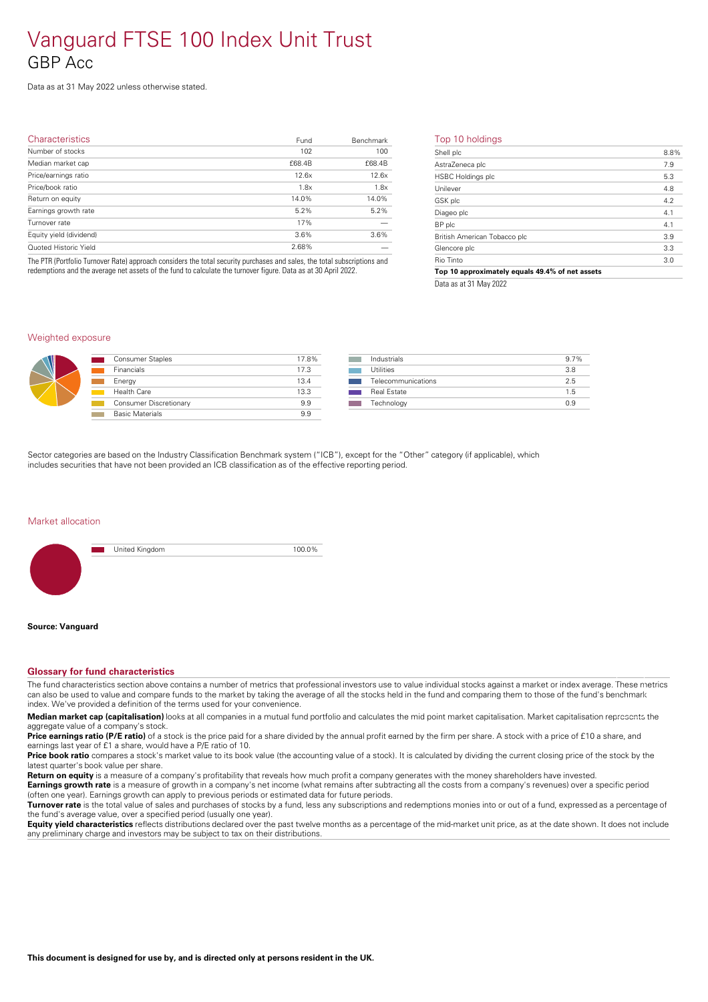## Vanguard FTSE 100 Index Unit Trust GBP Acc

Data as at 31 May 2022 unless otherwise stated.

| Characteristics         | Fund   | Benchmark | т                        |
|-------------------------|--------|-----------|--------------------------|
| Number of stocks        | 102    | 100       | SI                       |
| Median market cap       | £68.4B | £68.4B    | $\triangle$              |
| Price/earnings ratio    | 12.6x  | 12.6x     | $\overline{a}$           |
| Price/book ratio        | 1.8x   | 1.8x      | U                        |
| Return on equity        | 14.0%  | 14.0%     | $\underline{\mathsf{G}}$ |
| Earnings growth rate    | 5.2%   | 5.2%      | D                        |
| Turnover rate           | 17%    |           | B                        |
| Equity yield (dividend) | 3.6%   | 3.6%      | Bı                       |
| Quoted Historic Yield   | 2.68%  |           | G                        |
|                         |        |           |                          |

The PTR (Portfolio Turnover Rate) approach considers the total security purchases and sales, the total subscriptions and redemptions and the average net assets of the fund to calculate the turnover figure. Data as at 30 April 2022.

#### Top 10 holdings

| Shell plc                                       | 8.8% |
|-------------------------------------------------|------|
| AstraZeneca plc                                 | 7.9  |
| <b>HSBC Holdings plc</b>                        | 5.3  |
| Unilever                                        | 4.8  |
| GSK plc                                         | 4.2  |
| Diageo plc                                      | 4.1  |
| BP plc                                          | 4.1  |
| British American Tobacco plc                    | 3.9  |
| Glencore plc                                    | 3.3  |
| Rio Tinto                                       | 3.0  |
| Top 10 approximately equals 49.4% of net assets |      |
|                                                 |      |

Data as at 31 May 2022

#### Weighted exposure



| <b>Consumer Staples</b> | 17.8% |
|-------------------------|-------|
| Financials              | 17.3  |
| Energy                  | 13.4  |
| Health Care             | 13.3  |
| Consumer Discretionary  | 9.9   |
| <b>Basic Materials</b>  | 9.9   |
|                         |       |

| Industrials        | $9.7\%$ |
|--------------------|---------|
| <b>Utilities</b>   | 3.8     |
| Telecommunications | 25      |
| Real Estate        | 1.5     |
| Technology         | 09      |
|                    |         |

Sector categories are based on the Industry Classification Benchmark system ("ICB"), except for the "Other" category (if applicable), which includes securities that have not been provided an ICB classification as of the effective reporting period.

#### Market allocation



#### **Source: Vanguard**

#### **Glossary for fund characteristics**

The fund characteristics section above contains a number of metrics that professional investors use to value individual stocks against a market or index average. These metrics can also be used to value and compare funds to the market by taking the average of all the stocks held in the fund and comparing them to those of the fund's benchmark index. We've provided a definition of the terms used for your convenience.

**Median market cap (capitalisation)** looks at all companies in a mutual fund portfolio and calculates the mid point market capitalisation. Market capitalisation represents the aggregate value of a company's stock.

Price earnings ratio (P/E ratio) of a stock is the price paid for a share divided by the annual profit earned by the firm per share. A stock with a price of £10 a share, and earnings last year of £1 a share, would have a P/E ratio of 10.

**Price book ratio** compares a stock's market value to its book value (the accounting value of a stock). It is calculated by dividing the current closing price of the stock by the latest quarter's book value pershare.

**Return on equity** is a measure of a company's profitability that reveals how much profit a company generates with the money shareholders have invested.

**Earnings growth rate** is a measure of growth in a company's net income (what remains after subtracting all the costs from a company's revenues) over a specific period (often one year). Earnings growth can apply to previous periods or estimated data for future periods.

**Turnover rate** is the total value of sales and purchases of stocks by a fund, less any subscriptions and redemptions monies into or out of a fund, expressed as a percentage of the fund's average value, over a specified period (usually one year).

**Equity yield characteristics** reflects distributions declared over the past twelve months as a percentage of the mid-market unit price, as at the date shown. It does not include any preliminary charge and investors may be subject to tax on their distributions.